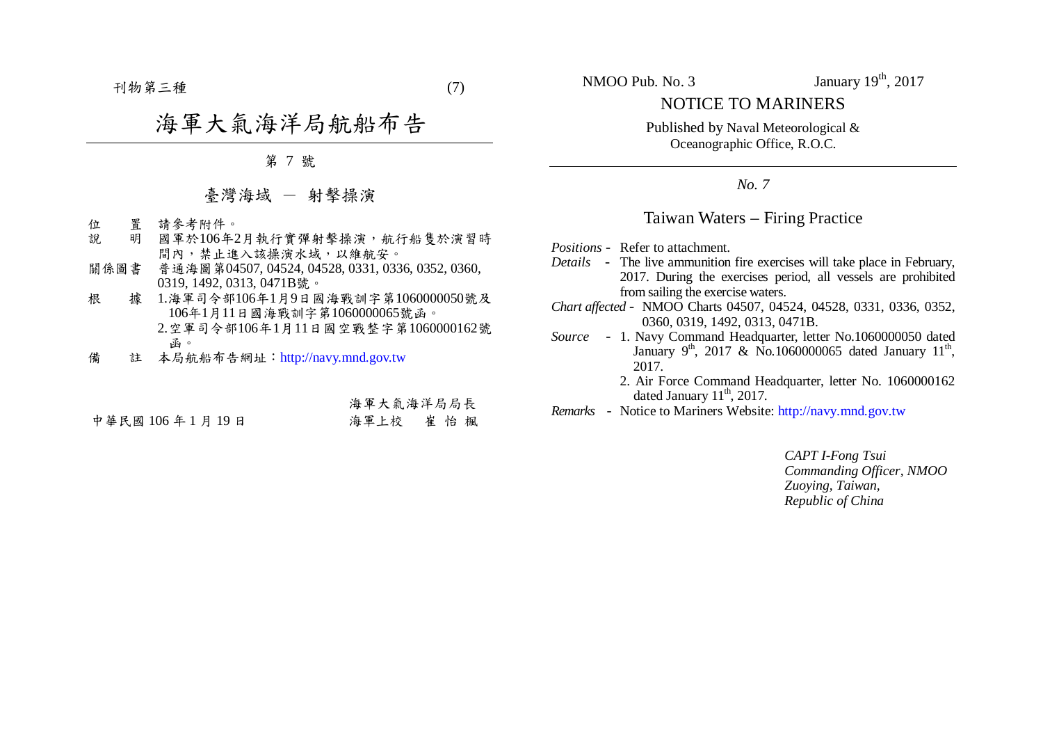$-11$  物第三種  $(7)$ 

## 海軍大氣海洋局航船布告

第 7 號

## 臺灣海域 - 射擊操演

- 位 置 請參考附件。<br>說 明 國軍於106年
- 說 明 國軍於106年2月執行實彈射擊操演,航行船隻於演習時 間內,禁止進入該操演水域,以維航安。
- 關係圖書 普通海圖第04507, 04524, 04528, 0331, 0336, 0352, 0360, 0319, 1492, 0313, 0471B號。
- 根 據 1.海軍司令部106年1月9日國海戰訓字第1060000050號及 106年1月11日國海戰訓字第1060000065號函。 2.空軍司令部106年1月11日國空戰整字第1060000162號 函。
- 備 註 本局航船布告網址:http://navy.mnd.gov.tw

海軍大氣海洋局局長 中華民國 106 年 1 月 19 日 海軍上校 崔 怡 楓

NOTICE TO MARINERS

Published by Naval Meteorological & Oceanographic Office, R.O.C.

*No. 7*

## Taiwan Waters – Firing Practice

- *Positions*  Refer to attachment.
- *Details*  The live ammunition fire exercises will take place in February, 2017. During the exercises period, all vessels are prohibited from sailing the exercise waters.
- *Chart affected*  NMOO Charts 04507, 04524, 04528, 0331, 0336, 0352, 0360, 0319, 1492, 0313, 0471B.
- *Source* 1. Navy Command Headquarter, letter No.1060000050 dated January 9<sup>th</sup>, 2017 & No.1060000065 dated January 11<sup>th</sup>, 2017.
	- 2. Air Force Command Headquarter, letter No. 1060000162 dated January  $11<sup>th</sup>$ , 2017.
- *Remarks* Notice to Mariners Website: http://navy.mnd.gov.tw

*CAPT I-Fong Tsui Commanding Officer, NMOO Zuoying, Taiwan, Republic of China*

NMOO Pub. No. 3 January  $19<sup>th</sup>$ ,  $2017$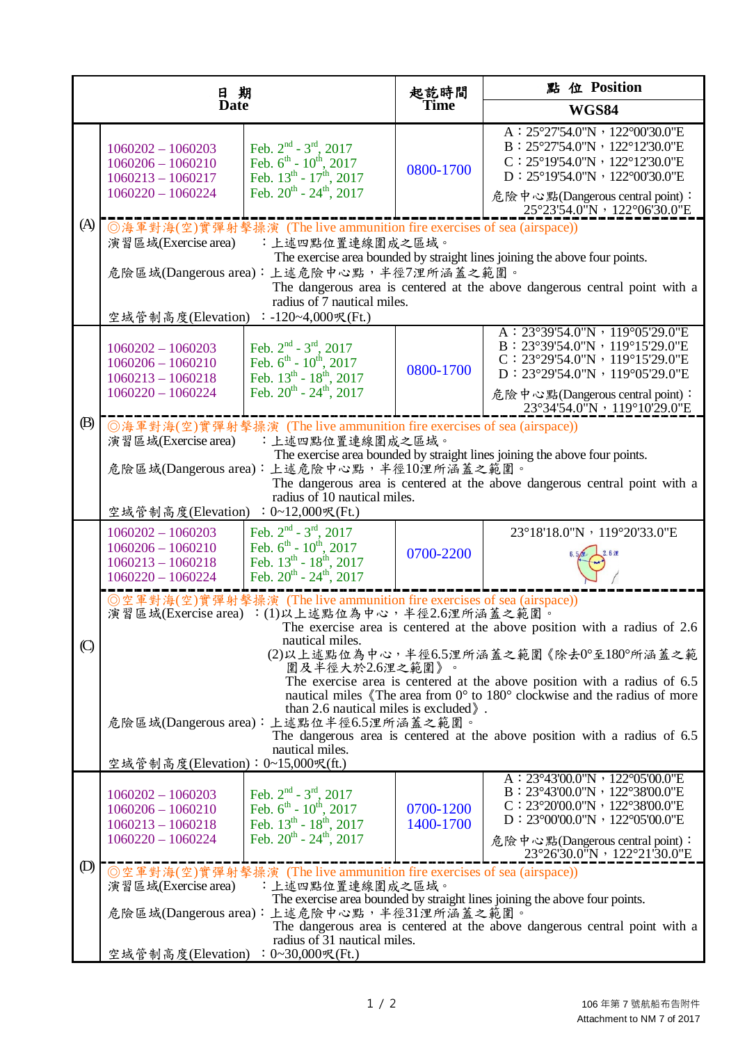| 日期<br>Date    |                                                                                                                                                                                                                                                                                                                                                                                                                                                                                                                                                                                                                                                                                              |                                                                                                                                                 | 起訖時間<br><b>Time</b>    | 點 位 Position                                                                                                                                                                                                                                                                |  |  |
|---------------|----------------------------------------------------------------------------------------------------------------------------------------------------------------------------------------------------------------------------------------------------------------------------------------------------------------------------------------------------------------------------------------------------------------------------------------------------------------------------------------------------------------------------------------------------------------------------------------------------------------------------------------------------------------------------------------------|-------------------------------------------------------------------------------------------------------------------------------------------------|------------------------|-----------------------------------------------------------------------------------------------------------------------------------------------------------------------------------------------------------------------------------------------------------------------------|--|--|
|               |                                                                                                                                                                                                                                                                                                                                                                                                                                                                                                                                                                                                                                                                                              |                                                                                                                                                 |                        | <b>WGS84</b>                                                                                                                                                                                                                                                                |  |  |
|               | $1060202 - 1060203$<br>$1060206 - 1060210$<br>$1060213 - 1060217$<br>$1060220 - 1060224$                                                                                                                                                                                                                                                                                                                                                                                                                                                                                                                                                                                                     | Feb. $2^{nd}$ - $3^{rd}$ , 2017<br>Feb. $6^{th}$ - $10^{th}$ , 2017<br>Feb. $13^{th}$ - $17^{th}$ , 2017<br>Feb. $20^{th}$ - $24^{th}$ , 2017   | 0800-1700              | A: 25°27'54.0"N, 122°00'30.0"E<br>B: 25°27'54.0"N, 122°12'30.0"E<br>$C: 25^{\circ}19'54.0''N \cdot 122^{\circ}12'30.0''E$<br>$D: 25^{\circ}19'54.0''N \cdot 122^{\circ}00'30.0''E$<br>危險中心點(Dangerous central point):<br>25°23'54.0"N, 122°06'30.0"E                        |  |  |
| (A)           | ◎海軍對海(空)實彈射擊操演 (The live ammunition fire exercises of sea (airspace))<br>演習區域(Exercise area)<br>:上述四點位置連線圍成之區域。<br>The exercise area bounded by straight lines joining the above four points.<br>危險區域(Dangerous area): 上述危險中心點, 半徑7浬所涵蓋之範圍。<br>The dangerous area is centered at the above dangerous central point with a<br>radius of 7 nautical miles.<br>空域管制高度(Elevation):-120~4,000呎(Ft.)                                                                                                                                                                                                                                                                                               |                                                                                                                                                 |                        |                                                                                                                                                                                                                                                                             |  |  |
|               | $1060202 - 1060203$<br>$1060206 - 1060210$<br>$1060213 - 1060218$<br>$1060220 - 1060224$                                                                                                                                                                                                                                                                                                                                                                                                                                                                                                                                                                                                     | Feb. $2^{nd}$ - $3^{rd}$ , 2017<br>Feb. $6^{th}$ - $10^{th}$ , 2017<br>Feb. $13^{th}$ - $18^{th}$ , 2017<br>Feb. $20^{th}$ - $24^{th}$ , $2017$ | 0800-1700              | A: 23°39'54.0"N, 119°05'29.0"E<br>B: 23°39'54.0"N, 119°15'29.0"E<br>$C: 23°29'54.0"N \cdot 119°15'29.0"E$<br>D: 23°29'54.0"N, 119°05'29.0"E<br>危險中心點(Dangerous central point):<br>23°34'54.0"N, 119°10'29.0"E                                                               |  |  |
| (B)           | ◎海軍對海(空)實彈射擊操演 (The live ammunition fire exercises of sea (airspace))<br>演習區域(Exercise area)<br>:上述四點位置連線圍成之區域。<br>The exercise area bounded by straight lines joining the above four points.<br>危險區域(Dangerous area): 上述危險中心點, 半徑10浬所涵蓋之範圍。<br>The dangerous area is centered at the above dangerous central point with a<br>radius of 10 nautical miles.<br>空域管制高度(Elevation): 0~12,000呎(Ft.)                                                                                                                                                                                                                                                                                              |                                                                                                                                                 |                        |                                                                                                                                                                                                                                                                             |  |  |
|               | $1060202 - 1060203$<br>$1060206 - 1060210$<br>$1060213 - 1060218$<br>$1060220 - 1060224$                                                                                                                                                                                                                                                                                                                                                                                                                                                                                                                                                                                                     | Feb. $2^{nd}$ - $3^{rd}$ , 2017<br>Feb. $6^{th}$ - $10^{th}$ , 2017<br>Feb. $13^{th}$ - $18^{th}$ , 2017<br>Feb. $20^{th}$ - $24^{th}$ , $2017$ | 0700-2200              | 23°18'18.0"N, 119°20'33.0"E<br>$6.502 \pm 2.622$                                                                                                                                                                                                                            |  |  |
| $\circled{C}$ | ◎空軍對海(空)實彈射擊操演 (The live ammunition fire exercises of sea (airspace))<br>演習區域(Exercise area) : (1)以上述點位為中心,半徑2.6浬所涵蓋之範圍。<br>The exercise area is centered at the above position with a radius of $2.6$<br>nautical miles.<br>(2)以上述點位為中心,半徑6.5浬所涵蓋之範圍《除去0°至180°所涵蓋之範<br>圍及半徑大於2.6浬之範圍》。<br>The exercise area is centered at the above position with a radius of 6.5<br>nautical miles $\langle$ The area from 0° to 180° clockwise and the radius of more<br>than 2.6 nautical miles is excluded $\rangle$ .<br>危險區域(Dangerous area): 上述點位半徑6.5浬所涵蓋之範圍。<br>The dangerous area is centered at the above position with a radius of 6.5<br>nautical miles.<br>空域管制高度(Elevation): 0~15,000呎(ft.) |                                                                                                                                                 |                        |                                                                                                                                                                                                                                                                             |  |  |
| $\circled{D}$ | $1060202 - 1060203$<br>$1060206 - 1060210$<br>$1060213 - 1060218$<br>$1060220 - 1060224$                                                                                                                                                                                                                                                                                                                                                                                                                                                                                                                                                                                                     | Feb. $2^{nd}$ - $3^{rd}$ , 2017<br>Feb. $6^{th}$ - $10^{th}$ , 2017<br>Feb. $13^{th}$ - $18^{th}$ , 2017<br>Feb. $20^{th}$ - $24^{th}$ , 2017   | 0700-1200<br>1400-1700 | $A: 23^{\circ}43'00.0''N \cdot 122^{\circ}05'00.0''E$<br>B: 23°43'00.0"N, 122°38'00.0"E<br>$C: 23^{\circ}20'00.0''N \cdot 122^{\circ}38'00.0''E$<br>$D: 23^{\circ}00'00.0''N \cdot 122^{\circ}05'00.0''E$<br>危險中心點(Dangerous central point):<br>23°26'30.0"N, 122°21'30.0"E |  |  |
|               | ◎空軍對海(空)實彈射擊操演 (The live ammunition fire exercises of sea (airspace))<br>演習區域(Exercise area)<br>:上述四點位置連線圍成之區域。<br>The exercise area bounded by straight lines joining the above four points.<br>危險區域(Dangerous area):上述危險中心點,半徑31浬所涵蓋之範圍。<br>The dangerous area is centered at the above dangerous central point with a<br>radius of 31 nautical miles.<br>: $0 \sim 30,000 \, \mathcal{R}(Ft.)$<br>空域管制高度(Elevation)                                                                                                                                                                                                                                                                       |                                                                                                                                                 |                        |                                                                                                                                                                                                                                                                             |  |  |